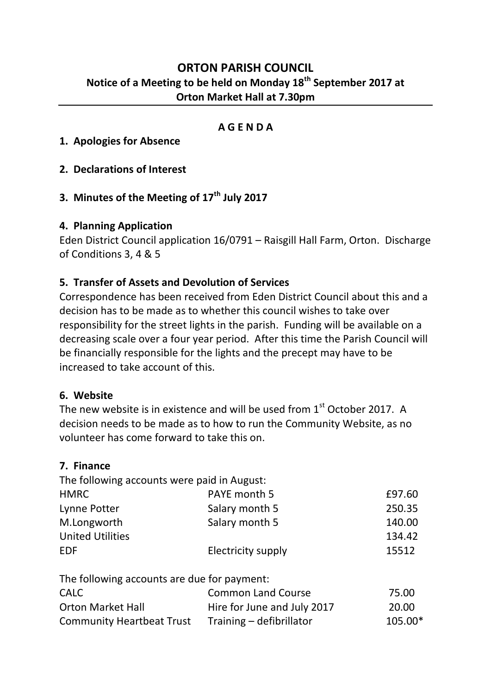# **ORTON PARISH COUNCIL Notice of a Meeting to be held on Monday 18th September 2017 at Orton Market Hall at 7.30pm**

### **A G E N D A**

- **1. Apologies for Absence**
- **2. Declarations of Interest**
- **3. Minutes of the Meeting of 17th July 2017**

### **4. Planning Application**

Eden District Council application 16/0791 – Raisgill Hall Farm, Orton. Discharge of Conditions 3, 4 & 5

### **5. Transfer of Assets and Devolution of Services**

Correspondence has been received from Eden District Council about this and a decision has to be made as to whether this council wishes to take over responsibility for the street lights in the parish. Funding will be available on a decreasing scale over a four year period. After this time the Parish Council will be financially responsible for the lights and the precept may have to be increased to take account of this.

#### **6. Website**

The new website is in existence and will be used from 1<sup>st</sup> October 2017. A decision needs to be made as to how to run the Community Website, as no volunteer has come forward to take this on.

#### **7. Finance**

| £97.60 |
|--------|
| 250.35 |
| 140.00 |
| 134.42 |
| 15512  |
|        |

The following accounts are due for payment:

| <b>CALC</b>                      | <b>Common Land Course</b>   | 75.00   |
|----------------------------------|-----------------------------|---------|
| <b>Orton Market Hall</b>         | Hire for June and July 2017 | 20.00   |
| <b>Community Heartbeat Trust</b> | Training – defibrillator    | 105.00* |